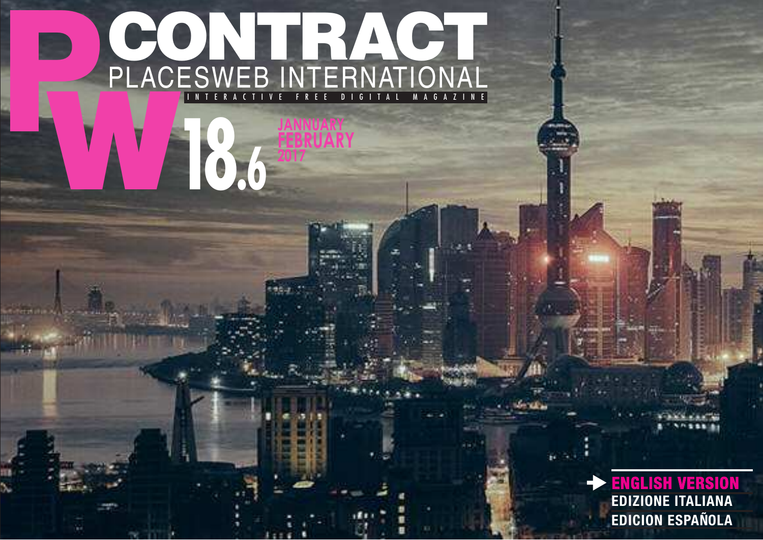## P PLACK PLACESWEB INTERNATIONAL CONTRACT I N T E R A C T I V E F R E E D I G I T A L M A G A Z I N E

**18.6** 

**JANNUARY FEBRUARY**

> **ENGLISH VERSION EDIZIONE ITALIANA EDICION ESPAÑOLA**  $\blacktriangleright$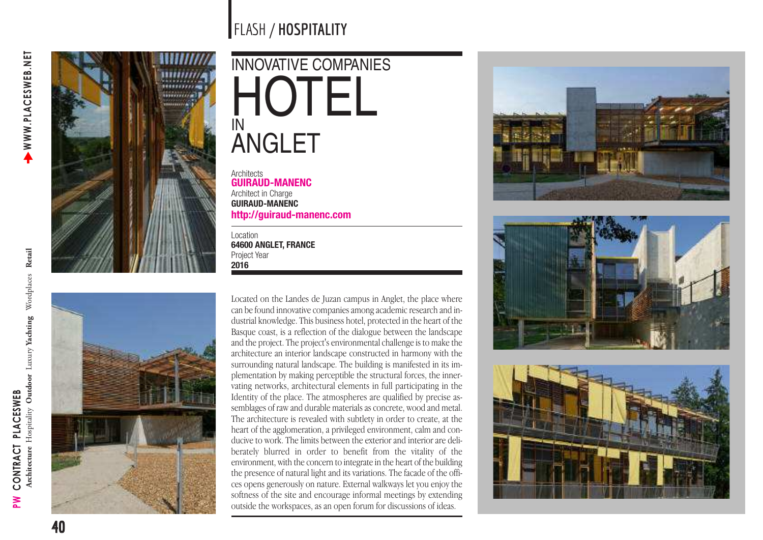



## INNOVATIVE COMPANIES HOTEL IN **ANGLET**

**Architects GUIRAUD-MANENC** Architect in Charge **GUIRAUD-MANENC [http://guiraud-manenc.com](http://www.guiraud-manenc.com)**

Location **64600 ANGLET, FRANCE** Project Year **2016**

Located on the Landes de Juzan campus in Anglet, the place where can be found innovative companies among academic research and industrial knowledge. This business hotel, protected in the heart of the Basque coast, is a reflection of the dialogue between the landscape and the project. The project's environmental challenge is to make the architecture an interior landscape constructed in harmony with the surrounding natural landscape. The building is manifested in its implementation by making perceptible the structural forces, the innervating networks, architectural elements in full participating in the Identity of the place. The atmospheres are qualified by precise assemblages of raw and durable materials as concrete, wood and metal. The architecture is revealed with subtlety in order to create, at the heart of the agglomeration, a privileged environment, calm and conducive to work. The limits between the exterior and interior are deliberately blurred in order to benefit from the vitality of the environment, with the concern to integrate in the heart of the building the presence of natural light and its variations. The facade of the offices opens generously on nature. External walkways let you enjoy the softness of the site and encourage informal meetings by extending outside the workspaces, as an open forum for discussions of ideas.







**PW CONTRACT PLACESWEB** 

CONTRACT PLACESWEB

 $\geq$ 

Architecture Hospitality Outdoor Luxury Yachting Wordplaces Retail